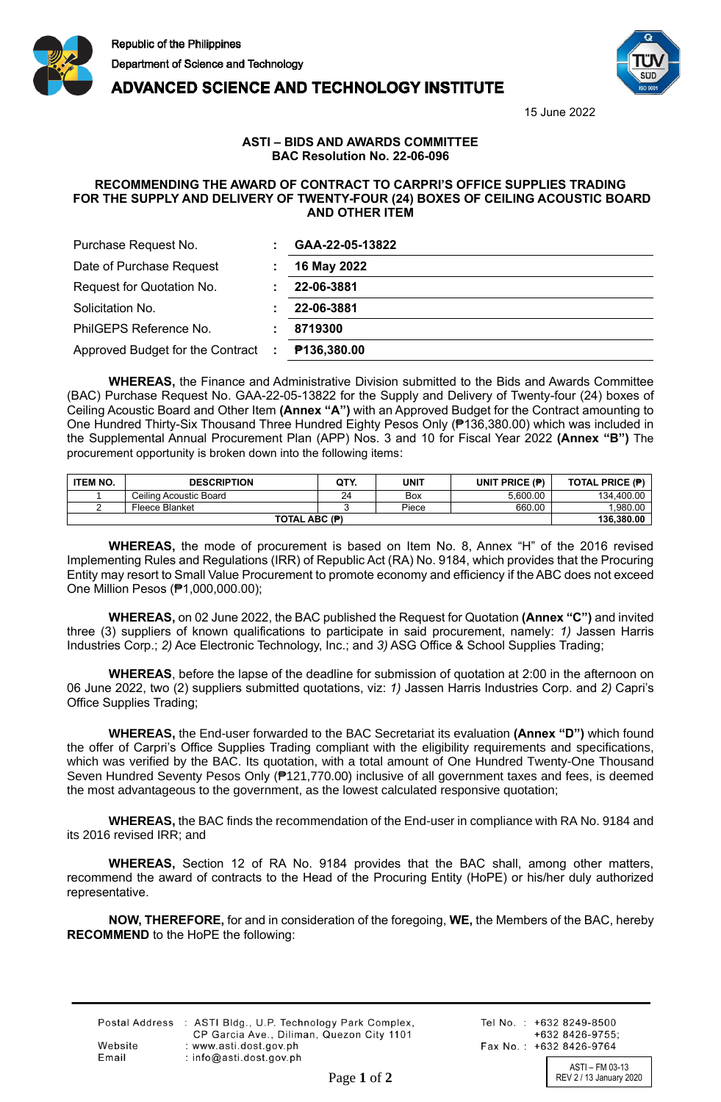



**ADVANCED SCIENCE AND TECHNOLOGY INSTITUTE** 

15 June 2022

## **ASTI – BIDS AND AWARDS COMMITTEE BAC Resolution No. 22-06-096**

## **RECOMMENDING THE AWARD OF CONTRACT TO CARPRI'S OFFICE SUPPLIES TRADING FOR THE SUPPLY AND DELIVERY OF TWENTY-FOUR (24) BOXES OF CEILING ACOUSTIC BOARD AND OTHER ITEM**

| Purchase Request No.               | GAA-22-05-13822 |
|------------------------------------|-----------------|
| Date of Purchase Request           | 16 May 2022     |
| Request for Quotation No.          | 22-06-3881      |
| Solicitation No.                   | 22-06-3881      |
| PhilGEPS Reference No.             | 8719300         |
| Approved Budget for the Contract : | P136,380.00     |

**WHEREAS,** the Finance and Administrative Division submitted to the Bids and Awards Committee (BAC) Purchase Request No. GAA-22-05-13822 for the Supply and Delivery of Twenty-four (24) boxes of Ceiling Acoustic Board and Other Item **(Annex "A")** with an Approved Budget for the Contract amounting to One Hundred Thirty-Six Thousand Three Hundred Eighty Pesos Only (₱136,380.00) which was included in the Supplemental Annual Procurement Plan (APP) Nos. 3 and 10 for Fiscal Year 2022 **(Annex "B")** The procurement opportunity is broken down into the following items:

| <b>ITEM NO.</b> | <b>DESCRIPTION</b>     | QTY. | UNIT  | UNIT PRICE $(P)$ | <b>TOTAL PRICE (P)</b> |
|-----------------|------------------------|------|-------|------------------|------------------------|
|                 | Ceiling Acoustic Board | 24   | Box   | 5.600.00         | 134.400.00             |
|                 | Fleece Blanket         |      | Piece | 660.00           | 1.980.00               |
| TOTAL ABC (P)   |                        |      |       |                  | 136.380.00             |

**WHEREAS,** the mode of procurement is based on Item No. 8, Annex "H" of the 2016 revised Implementing Rules and Regulations (IRR) of Republic Act (RA) No. 9184, which provides that the Procuring Entity may resort to Small Value Procurement to promote economy and efficiency if the ABC does not exceed One Million Pesos (₱1,000,000.00);

**WHEREAS,** on 02 June 2022, the BAC published the Request for Quotation **(Annex "C")** and invited three (3) suppliers of known qualifications to participate in said procurement, namely: *1)* Jassen Harris Industries Corp.; *2)* Ace Electronic Technology, Inc.; and *3)* ASG Office & School Supplies Trading;

**WHEREAS**, before the lapse of the deadline for submission of quotation at 2:00 in the afternoon on 06 June 2022, two (2) suppliers submitted quotations, viz: *1)* Jassen Harris Industries Corp. and *2)* Capri's Office Supplies Trading;

**WHEREAS,** the End-user forwarded to the BAC Secretariat its evaluation **(Annex "D")** which found the offer of Carpri's Office Supplies Trading compliant with the eligibility requirements and specifications, which was verified by the BAC. Its quotation, with a total amount of One Hundred Twenty-One Thousand Seven Hundred Seventy Pesos Only (₱121,770.00) inclusive of all government taxes and fees, is deemed the most advantageous to the government, as the lowest calculated responsive quotation;

**WHEREAS,** the BAC finds the recommendation of the End-user in compliance with RA No. 9184 and its 2016 revised IRR; and

**WHEREAS,** Section 12 of RA No. 9184 provides that the BAC shall, among other matters, recommend the award of contracts to the Head of the Procuring Entity (HoPE) or his/her duly authorized representative.

**NOW, THEREFORE,** for and in consideration of the foregoing, **WE,** the Members of the BAC, hereby **RECOMMEND** to the HoPE the following:

| Postal Address : ASTI Bldg., U.P. Technology Park Complex, |
|------------------------------------------------------------|
| CP Garcia Ave., Diliman, Quezon City 1101                  |
|                                                            |
|                                                            |
|                                                            |

Tel No.: +632 8249-8500  $+6328426-9755$ Fax No.: +632 8426-9764

ASTI – FM 03-13 Page 1 of 2 REV 2 / 13 January 2020